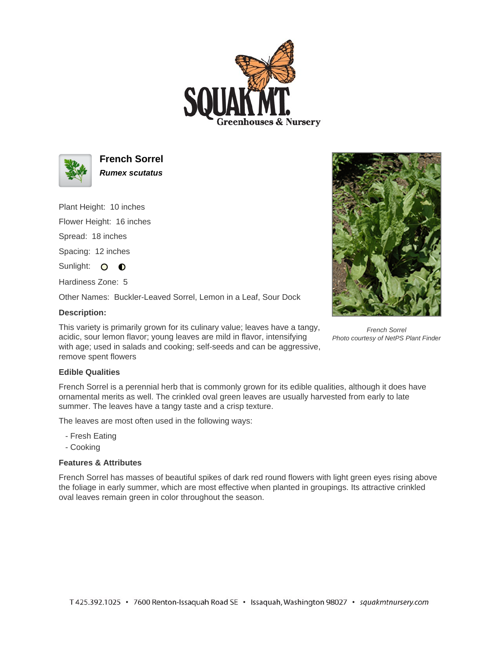



**French Sorrel Rumex scutatus**

Plant Height: 10 inches

Flower Height: 16 inches

Spread: 18 inches

Spacing: 12 inches

Sunlight: O **O** 

Hardiness Zone: 5

Other Names: Buckler-Leaved Sorrel, Lemon in a Leaf, Sour Dock

## **Description:**

This variety is primarily grown for its culinary value; leaves have a tangy, acidic, sour lemon flavor; young leaves are mild in flavor, intensifying with age; used in salads and cooking; self-seeds and can be aggressive, remove spent flowers

## **Edible Qualities**

French Sorrel is a perennial herb that is commonly grown for its edible qualities, although it does have ornamental merits as well. The crinkled oval green leaves are usually harvested from early to late summer. The leaves have a tangy taste and a crisp texture.

The leaves are most often used in the following ways:

- Fresh Eating
- Cooking

## **Features & Attributes**

French Sorrel has masses of beautiful spikes of dark red round flowers with light green eyes rising above the foliage in early summer, which are most effective when planted in groupings. Its attractive crinkled oval leaves remain green in color throughout the season.



French Sorrel Photo courtesy of NetPS Plant Finder